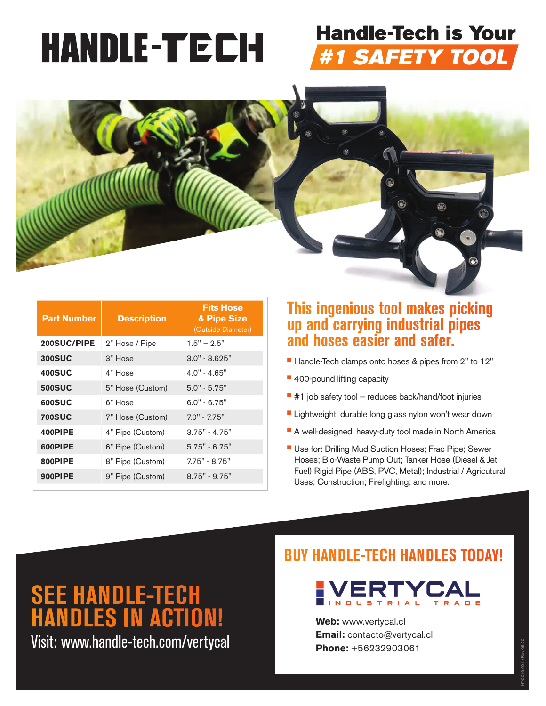# **HANDLE-TECH**

## **Handle-Tech is Your** #1 SAFETY TOOL



| <b>Part Number</b> | <b>Description</b> | <b>Fits Hose</b><br>& Pipe Size<br>(Outside Diameter) |
|--------------------|--------------------|-------------------------------------------------------|
| 200SUC/PIPE        | 2" Hose / Pipe     | $1.5" - 2.5"$                                         |
| <b>300SUC</b>      | 3" Hose            | $3.0" - 3.625"$                                       |
| <b>400SUC</b>      | 4" Hose            | $4.0" - 4.65"$                                        |
| <b>500SUC</b>      | 5" Hose (Custom)   | $5.0" - 5.75"$                                        |
| 600SUC             | 6" Hose            | $6.0" - 6.75"$                                        |
| <b>700SUC</b>      | 7" Hose (Custom)   | $7.0" - 7.75"$                                        |
| 400PIPE            | 4" Pipe (Custom)   | $3.75" - 4.75"$                                       |
| 600PIPE            | 6" Pipe (Custom)   | $5.75" - 6.75"$                                       |
| 800PIPE            | 8" Pipe (Custom)   | $7.75" - 8.75"$                                       |
| 900PIPE            | 9" Pipe (Custom)   | $8.75" - 9.75"$                                       |

#### **This ingenious tool makes picking up and carrying industrial pipes and hoses easier and safer.**

- Handle-Tech clamps onto hoses & pipes from 2" to 12"
- **400-pound lifting capacity**
- $\blacksquare$  #1 job safety tool reduces back/hand/foot injuries
- **Lightweight, durable long glass nylon won't wear down**
- A well-designed, heavy-duty tool made in North America
- Use for: Drilling Mud Suction Hoses; Frac Pipe; Sewer Hoses; Bio-Waste Pump Out; Tanker Hose (Diesel & Jet Fuel) Rigid Pipe (ABS, PVC, Metal); Industrial / Agricutural Uses; Construction; Firefighting; and more.

**SEE HANDLE-TECH HANDLES IN ACTION!**

Visit: www.handle-tech.com/vertycal

#### **BUY HANDLE-TECH HANDLES TODAY!**



HT-0016.001 / Rev 08.20

**Web:** www.vertycal.cl **Email:** contacto@vertycal.cl **Phone:** +56232903061